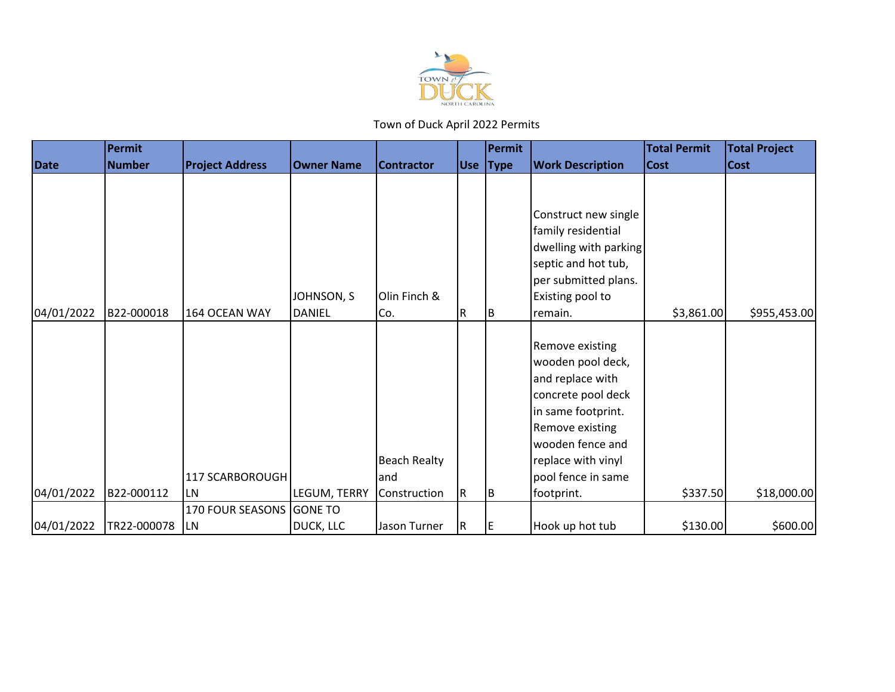

|             | <b>Permit</b> |                                            |                   |                             |          | Permit   |                                                                                                                                                                                         | <b>Total Permit</b> | <b>Total Project</b> |
|-------------|---------------|--------------------------------------------|-------------------|-----------------------------|----------|----------|-----------------------------------------------------------------------------------------------------------------------------------------------------------------------------------------|---------------------|----------------------|
| <b>Date</b> | <b>Number</b> | <b>Project Address</b>                     | <b>Owner Name</b> | <b>Contractor</b>           |          | Use Type | <b>Work Description</b>                                                                                                                                                                 | <b>Cost</b>         | <b>Cost</b>          |
|             |               |                                            | JOHNSON, S        | Olin Finch &                |          |          | Construct new single<br>family residential<br>dwelling with parking<br>septic and hot tub,<br>per submitted plans.<br>Existing pool to                                                  |                     |                      |
| 04/01/2022  | B22-000018    | 164 OCEAN WAY                              | <b>DANIEL</b>     | Co.                         | IR.      | Iв       | remain.                                                                                                                                                                                 | \$3,861.00          | \$955,453.00         |
|             |               | 117 SCARBOROUGH                            |                   | <b>Beach Realty</b><br>land |          |          | Remove existing<br>wooden pool deck,<br>and replace with<br>concrete pool deck<br>in same footprint.<br>Remove existing<br>wooden fence and<br>replace with vinyl<br>pool fence in same |                     |                      |
| 04/01/2022  | B22-000112    | LN                                         | LEGUM, TERRY      | Construction                | IR.      | lв       | footprint.                                                                                                                                                                              | \$337.50            | \$18,000.00          |
| 04/01/2022  | TR22-000078   | 170 FOUR SEASONS GONE TO<br>LN <sub></sub> | DUCK, LLC         | Jason Turner                | <b>R</b> | IE.      | Hook up hot tub                                                                                                                                                                         | \$130.00            | \$600.00             |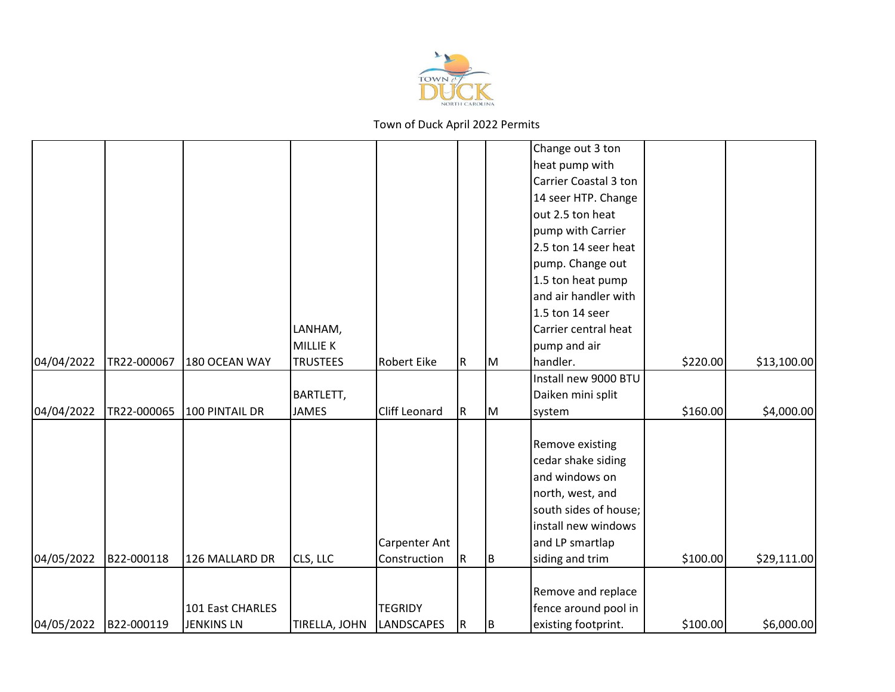

|            |             |                   |                 |                      |             |     | Change out 3 ton      |          |             |
|------------|-------------|-------------------|-----------------|----------------------|-------------|-----|-----------------------|----------|-------------|
|            |             |                   |                 |                      |             |     | heat pump with        |          |             |
|            |             |                   |                 |                      |             |     | Carrier Coastal 3 ton |          |             |
|            |             |                   |                 |                      |             |     | 14 seer HTP. Change   |          |             |
|            |             |                   |                 |                      |             |     | out 2.5 ton heat      |          |             |
|            |             |                   |                 |                      |             |     | pump with Carrier     |          |             |
|            |             |                   |                 |                      |             |     | 2.5 ton 14 seer heat  |          |             |
|            |             |                   |                 |                      |             |     | pump. Change out      |          |             |
|            |             |                   |                 |                      |             |     | 1.5 ton heat pump     |          |             |
|            |             |                   |                 |                      |             |     | and air handler with  |          |             |
|            |             |                   |                 |                      |             |     | 1.5 ton 14 seer       |          |             |
|            |             |                   | LANHAM,         |                      |             |     | Carrier central heat  |          |             |
|            |             |                   | MILLIE K        |                      |             |     | pump and air          |          |             |
| 04/04/2022 | TR22-000067 | 180 OCEAN WAY     | <b>TRUSTEES</b> | Robert Eike          | $\mathsf R$ | Iм  | handler.              | \$220.00 | \$13,100.00 |
|            |             |                   |                 |                      |             |     | Install new 9000 BTU  |          |             |
|            |             |                   | BARTLETT,       |                      |             |     | Daiken mini split     |          |             |
| 04/04/2022 | TR22-000065 | 100 PINTAIL DR    | <b>JAMES</b>    | <b>Cliff Leonard</b> | R           | IМ  | system                | \$160.00 | \$4,000.00  |
|            |             |                   |                 |                      |             |     |                       |          |             |
|            |             |                   |                 |                      |             |     | Remove existing       |          |             |
|            |             |                   |                 |                      |             |     | cedar shake siding    |          |             |
|            |             |                   |                 |                      |             |     | and windows on        |          |             |
|            |             |                   |                 |                      |             |     | north, west, and      |          |             |
|            |             |                   |                 |                      |             |     | south sides of house; |          |             |
|            |             |                   |                 |                      |             |     | install new windows   |          |             |
|            |             |                   |                 | <b>Carpenter Ant</b> |             |     | and LP smartlap       |          |             |
| 04/05/2022 | B22-000118  | 126 MALLARD DR    | CLS, LLC        | Construction         | $\mathsf R$ | lв. | siding and trim       | \$100.00 | \$29,111.00 |
|            |             |                   |                 |                      |             |     |                       |          |             |
|            |             |                   |                 |                      |             |     | Remove and replace    |          |             |
|            |             | 101 East CHARLES  |                 | <b>TEGRIDY</b>       |             |     | fence around pool in  |          |             |
| 04/05/2022 | B22-000119  | <b>JENKINS LN</b> | TIRELLA, JOHN   | <b>LANDSCAPES</b>    | R.          | IΒ  | existing footprint.   | \$100.00 | \$6,000.00  |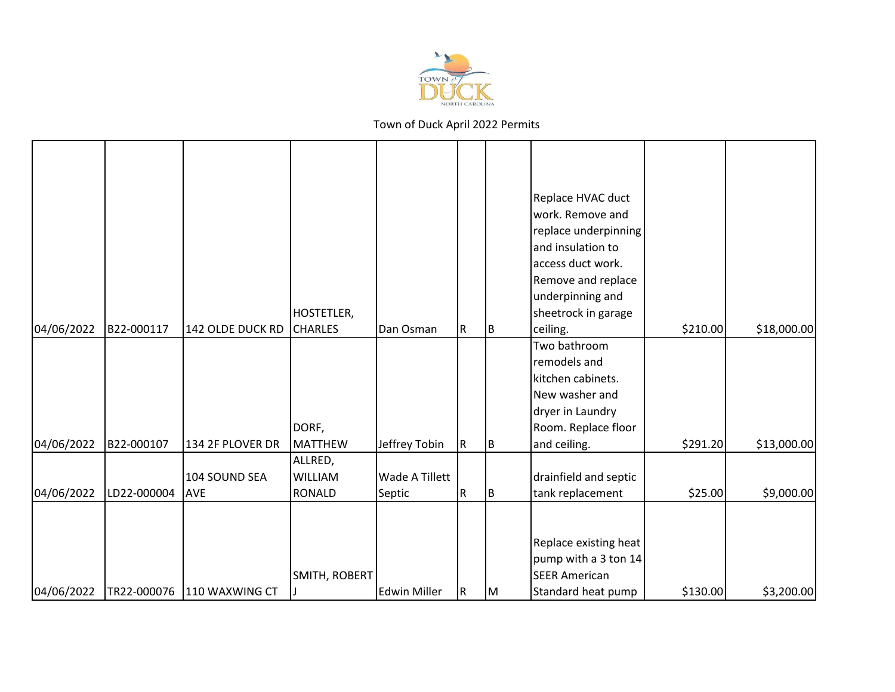

|                          |                           |                                                 | HOSTETLER,                                              |                                           |          |          | Replace HVAC duct<br>work. Remove and<br>replace underpinning<br>and insulation to<br>access duct work.<br>Remove and replace<br>underpinning and<br>sheetrock in garage    |                     |                           |
|--------------------------|---------------------------|-------------------------------------------------|---------------------------------------------------------|-------------------------------------------|----------|----------|-----------------------------------------------------------------------------------------------------------------------------------------------------------------------------|---------------------|---------------------------|
| 04/06/2022               | B22-000117                | 142 OLDE DUCK RD                                | <b>CHARLES</b>                                          | Dan Osman                                 | R        | IΒ       | ceiling.                                                                                                                                                                    | \$210.00            | \$18,000.00               |
| 04/06/2022<br>04/06/2022 | B22-000107<br>LD22-000004 | 134 2F PLOVER DR<br>104 SOUND SEA<br><b>AVE</b> | DORF,<br>MATTHEW<br>ALLRED,<br>WILLIAM<br><b>RONALD</b> | Jeffrey Tobin<br>Wade A Tillett<br>Septic | IR.<br>R | IΒ<br>ΙB | Two bathroom<br>remodels and<br>kitchen cabinets.<br>New washer and<br>dryer in Laundry<br>Room. Replace floor<br>and ceiling.<br>drainfield and septic<br>tank replacement | \$291.20<br>\$25.00 | \$13,000.00<br>\$9,000.00 |
| 04/06/2022               |                           | TR22-000076 110 WAXWING CT                      | SMITH, ROBERT                                           | <b>Edwin Miller</b>                       | IR.      | IМ       | Replace existing heat<br>pump with a 3 ton 14<br><b>SEER American</b><br>Standard heat pump                                                                                 | \$130.00            | \$3,200.00                |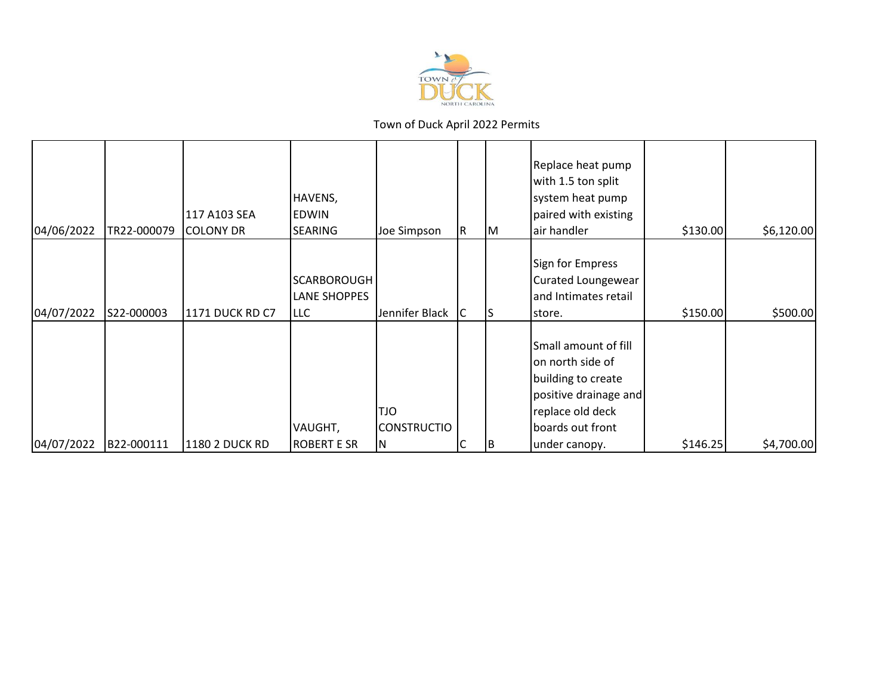

| 04/06/2022 | TR22-000079 | 117 A103 SEA<br><b>COLONY DR</b> | HAVENS,<br><b>EDWIN</b><br><b>SEARING</b>        | Joe Simpson                      | R | IМ | Replace heat pump<br>with 1.5 ton split<br>system heat pump<br>paired with existing<br>air handler                              | \$130.00 | \$6,120.00 |
|------------|-------------|----------------------------------|--------------------------------------------------|----------------------------------|---|----|---------------------------------------------------------------------------------------------------------------------------------|----------|------------|
| 04/07/2022 | S22-000003  | <b>1171 DUCK RD C7</b>           | <b>SCARBOROUGH</b><br>LANE SHOPPES<br><b>LLC</b> | Jennifer Black                   | C |    | Sign for Empress<br>Curated Loungewear<br>and Intimates retail<br>store.                                                        | \$150.00 | \$500.00   |
|            |             |                                  | VAUGHT,                                          | <b>OLT</b><br><b>CONSTRUCTIO</b> |   |    | Small amount of fill<br>on north side of<br>building to create<br>positive drainage and<br>replace old deck<br>boards out front |          |            |
| 04/07/2022 | B22-000111  | 1180 2 DUCK RD                   | <b>ROBERT E SR</b>                               | N                                |   | IΒ | under canopy.                                                                                                                   | \$146.25 | \$4,700.00 |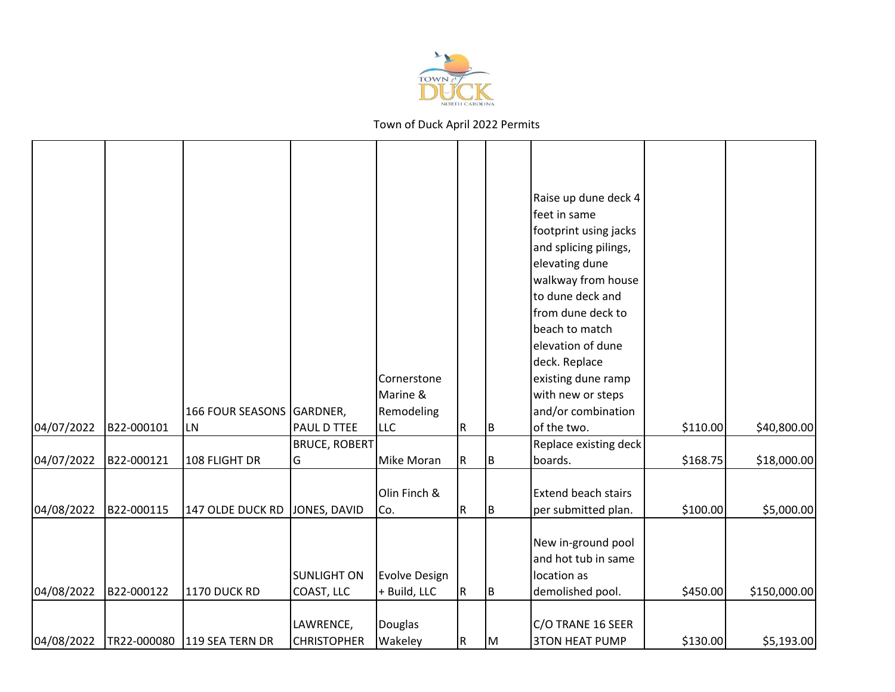

|            |            |                             |                                  | Cornerstone<br>Marine &       |           |     | Raise up dune deck 4<br>feet in same<br>footprint using jacks<br>and splicing pilings,<br>elevating dune<br>walkway from house<br>to dune deck and<br>from dune deck to<br>beach to match<br>elevation of dune<br>deck. Replace<br>existing dune ramp<br>with new or steps |          |              |
|------------|------------|-----------------------------|----------------------------------|-------------------------------|-----------|-----|----------------------------------------------------------------------------------------------------------------------------------------------------------------------------------------------------------------------------------------------------------------------------|----------|--------------|
|            |            | 166 FOUR SEASONS GARDNER,   |                                  | Remodeling                    |           |     | and/or combination                                                                                                                                                                                                                                                         |          |              |
| 04/07/2022 | B22-000101 | LN                          | PAUL D TTEE                      | <b>LLC</b>                    | R         | B   | of the two.                                                                                                                                                                                                                                                                | \$110.00 | \$40,800.00  |
|            |            |                             | <b>BRUCE, ROBERT</b>             |                               |           |     | Replace existing deck                                                                                                                                                                                                                                                      |          |              |
| 04/07/2022 | B22-000121 | 108 FLIGHT DR               | G                                | Mike Moran                    | ${\sf R}$ | В   | boards.                                                                                                                                                                                                                                                                    | \$168.75 | \$18,000.00  |
| 04/08/2022 | B22-000115 | 147 OLDE DUCK RD            | JONES, DAVID                     | Olin Finch &<br>Co.           | ${\sf R}$ | IB. | Extend beach stairs<br>per submitted plan.                                                                                                                                                                                                                                 | \$100.00 | \$5,000.00   |
| 04/08/2022 | B22-000122 | 1170 DUCK RD                | <b>SUNLIGHT ON</b><br>COAST, LLC | Evolve Design<br>+ Build, LLC | R         | IB. | New in-ground pool<br>and hot tub in same<br>location as<br>demolished pool.                                                                                                                                                                                               | \$450.00 | \$150,000.00 |
| 04/08/2022 |            | TR22-000080 119 SEA TERN DR | LAWRENCE,<br><b>CHRISTOPHER</b>  | Douglas<br>Wakeley            | ${\sf R}$ | M   | C/O TRANE 16 SEER<br><b>3TON HEAT PUMP</b>                                                                                                                                                                                                                                 | \$130.00 | \$5,193.00   |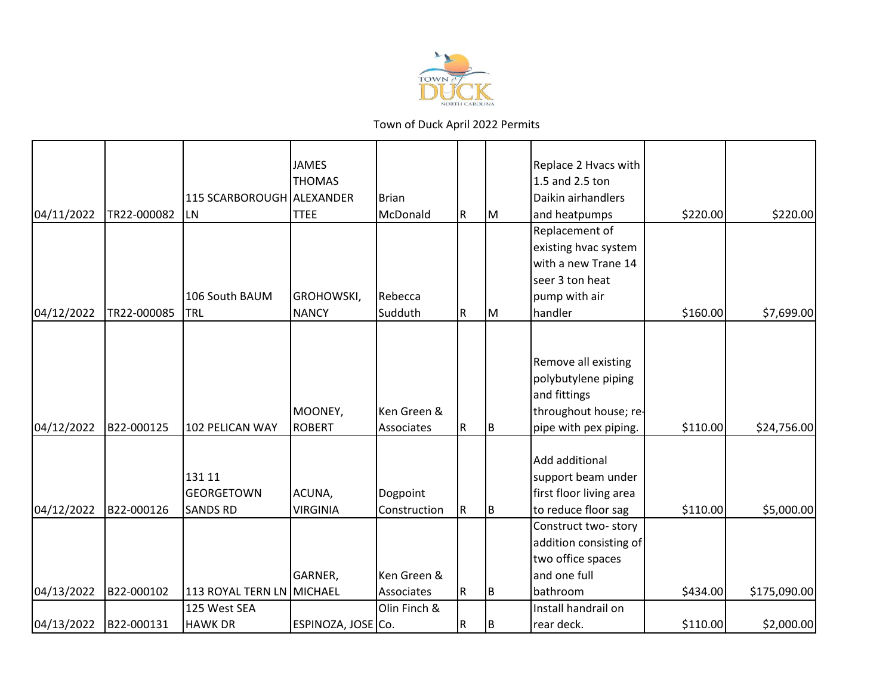

|            |             |                           | <b>JAMES</b>       |              |     |    | Replace 2 Hvacs with    |          |              |
|------------|-------------|---------------------------|--------------------|--------------|-----|----|-------------------------|----------|--------------|
|            |             |                           | <b>THOMAS</b>      |              |     |    | 1.5 and 2.5 ton         |          |              |
|            |             | 115 SCARBOROUGH ALEXANDER |                    | Brian        |     |    | Daikin airhandlers      |          |              |
| 04/11/2022 | TR22-000082 | <b>LN</b>                 | <b>TTEE</b>        | McDonald     | IR. | IМ | and heatpumps           | \$220.00 | \$220.00     |
|            |             |                           |                    |              |     |    | Replacement of          |          |              |
|            |             |                           |                    |              |     |    | existing hvac system    |          |              |
|            |             |                           |                    |              |     |    | with a new Trane 14     |          |              |
|            |             |                           |                    |              |     |    | seer 3 ton heat         |          |              |
|            |             | 106 South BAUM            | GROHOWSKI,         | Rebecca      |     |    | pump with air           |          |              |
| 04/12/2022 | TR22-000085 | TRL                       | <b>NANCY</b>       | Sudduth      | IR. | Iм | handler                 | \$160.00 | \$7,699.00   |
|            |             |                           |                    |              |     |    |                         |          |              |
|            |             |                           |                    |              |     |    |                         |          |              |
|            |             |                           |                    |              |     |    | Remove all existing     |          |              |
|            |             |                           |                    |              |     |    | polybutylene piping     |          |              |
|            |             |                           |                    |              |     |    | and fittings            |          |              |
|            |             |                           | MOONEY,            | Ken Green &  |     |    | throughout house; re-   |          |              |
| 04/12/2022 | B22-000125  | 102 PELICAN WAY           | <b>ROBERT</b>      | Associates   | R   | B  | pipe with pex piping.   | \$110.00 | \$24,756.00  |
|            |             |                           |                    |              |     |    |                         |          |              |
|            |             |                           |                    |              |     |    | Add additional          |          |              |
|            |             | 131 11                    |                    |              |     |    | support beam under      |          |              |
|            |             | <b>GEORGETOWN</b>         | ACUNA,             | Dogpoint     |     |    | first floor living area |          |              |
| 04/12/2022 | B22-000126  | <b>SANDS RD</b>           | <b>VIRGINIA</b>    | Construction | IR. | B  | to reduce floor sag     | \$110.00 | \$5,000.00   |
|            |             |                           |                    |              |     |    | Construct two-story     |          |              |
|            |             |                           |                    |              |     |    | addition consisting of  |          |              |
|            |             |                           |                    |              |     |    | two office spaces       |          |              |
|            |             |                           | GARNER,            | Ken Green &  |     |    | and one full            |          |              |
| 04/13/2022 | B22-000102  | 113 ROYAL TERN LN MICHAEL |                    | Associates   | IR. | B  | bathroom                | \$434.00 | \$175,090.00 |
|            |             | 125 West SEA              |                    | Olin Finch & |     |    | Install handrail on     |          |              |
| 04/13/2022 | B22-000131  | <b>HAWK DR</b>            | ESPINOZA, JOSE Co. |              | R.  | B  | rear deck.              | \$110.00 | \$2,000.00   |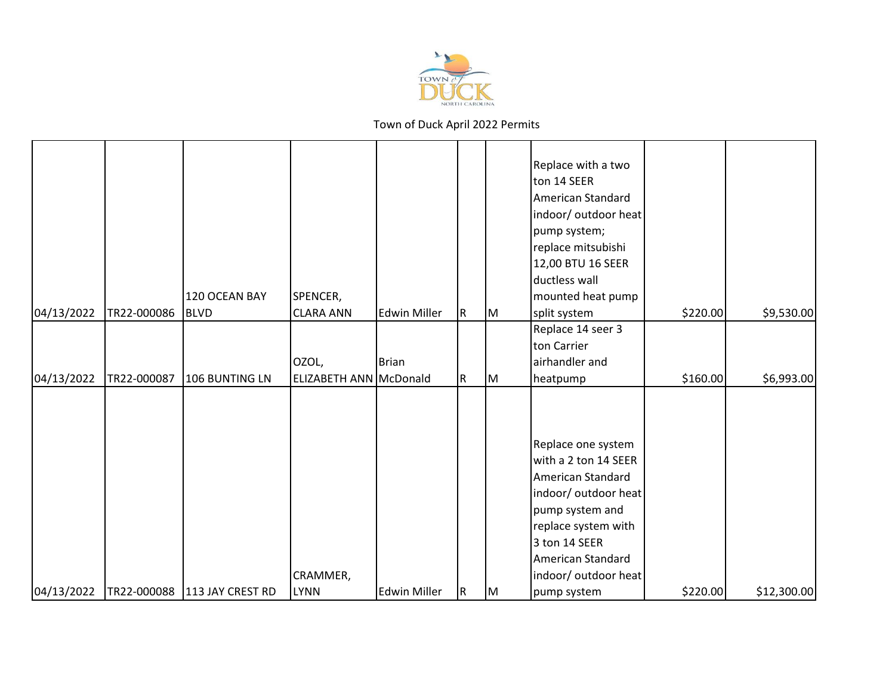

| 04/13/2022 | TR22-000086 | 120 OCEAN BAY<br><b>BLVD</b> | SPENCER,<br><b>CLARA ANN</b> | <b>Edwin Miller</b> | R. | M  | Replace with a two<br>ton 14 SEER<br>American Standard<br>indoor/ outdoor heat<br>pump system;<br>replace mitsubishi<br>12,00 BTU 16 SEER<br>ductless wall<br>mounted heat pump<br>split system<br>Replace 14 seer 3<br>ton Carrier | \$220.00 | \$9,530.00  |
|------------|-------------|------------------------------|------------------------------|---------------------|----|----|-------------------------------------------------------------------------------------------------------------------------------------------------------------------------------------------------------------------------------------|----------|-------------|
|            |             |                              | OZOL,                        | <b>Brian</b>        |    |    | airhandler and                                                                                                                                                                                                                      |          |             |
| 04/13/2022 | TR22-000087 | 106 BUNTING LN               | ELIZABETH ANN McDonald       |                     | R. | M  | heatpump                                                                                                                                                                                                                            | \$160.00 | \$6,993.00  |
|            |             |                              | CRAMMER,                     |                     |    |    | Replace one system<br>with a 2 ton 14 SEER<br>American Standard<br>indoor/ outdoor heat<br>pump system and<br>replace system with<br>3 ton 14 SEER<br>American Standard<br>indoor/ outdoor heat                                     | \$220.00 |             |
| 04/13/2022 |             | TR22-000088 113 JAY CREST RD | <b>LYNN</b>                  | <b>Edwin Miller</b> | R. | IМ | pump system                                                                                                                                                                                                                         |          | \$12,300.00 |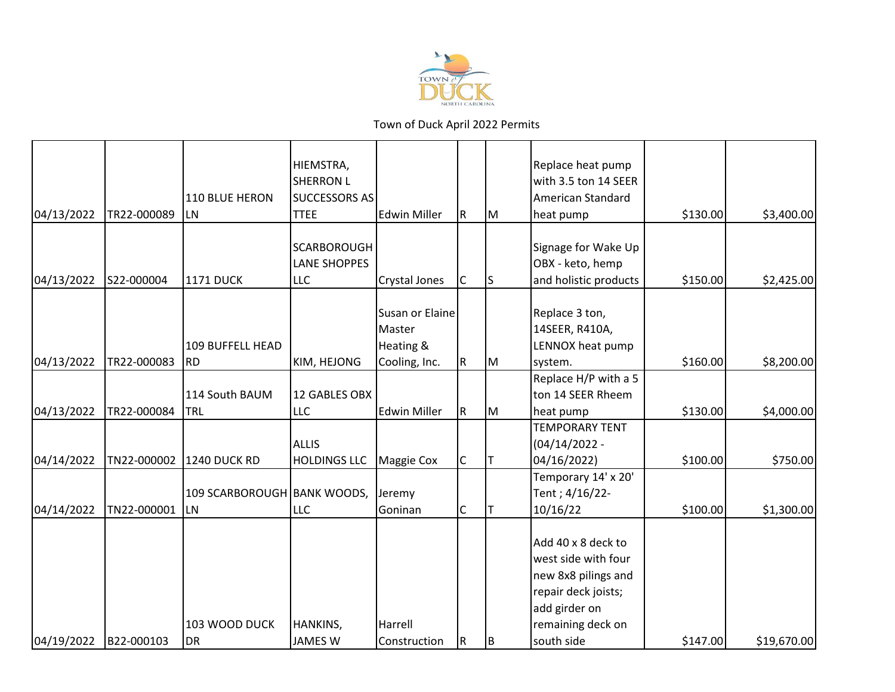

|            |             |                             | HIEMSTRA,<br><b>SHERRON L</b>       |                           |              |     | Replace heat pump<br>with 3.5 ton 14 SEER                               |          |             |
|------------|-------------|-----------------------------|-------------------------------------|---------------------------|--------------|-----|-------------------------------------------------------------------------|----------|-------------|
| 04/13/2022 | TR22-000089 | 110 BLUE HERON<br><b>LN</b> | <b>SUCCESSORS AS</b><br><b>TTEE</b> | <b>Edwin Miller</b>       | R            | IМ  | American Standard<br>heat pump                                          | \$130.00 | \$3,400.00  |
|            |             |                             |                                     |                           |              |     |                                                                         |          |             |
|            |             |                             | <b>SCARBOROUGH</b>                  |                           |              |     | Signage for Wake Up                                                     |          |             |
|            |             |                             | <b>LANE SHOPPES</b>                 |                           |              |     | OBX - keto, hemp                                                        |          |             |
| 04/13/2022 | S22-000004  | <b>1171 DUCK</b>            | <b>LLC</b>                          | Crystal Jones             | C            | ls. | and holistic products                                                   | \$150.00 | \$2,425.00  |
|            |             |                             |                                     |                           |              |     |                                                                         |          |             |
|            |             |                             |                                     | Susan or Elaine<br>Master |              |     | Replace 3 ton,<br>14SEER, R410A,                                        |          |             |
|            |             | 109 BUFFELL HEAD            |                                     | Heating &                 |              |     | LENNOX heat pump                                                        |          |             |
| 04/13/2022 | TR22-000083 | <b>RD</b>                   | KIM, HEJONG                         | Cooling, Inc.             | ${\sf R}$    | M   | system.                                                                 | \$160.00 | \$8,200.00  |
|            |             |                             |                                     |                           |              |     | Replace H/P with a 5                                                    |          |             |
|            |             | 114 South BAUM              | 12 GABLES OBX                       |                           |              |     | ton 14 SEER Rheem                                                       |          |             |
| 04/13/2022 | TR22-000084 | TRL                         | <b>LLC</b>                          | <b>Edwin Miller</b>       | ${\sf R}$    | lм  | heat pump                                                               | \$130.00 | \$4,000.00  |
|            |             |                             |                                     |                           |              |     | <b>TEMPORARY TENT</b>                                                   |          |             |
|            |             |                             | ALLIS                               |                           |              |     | $(04/14/2022 -$                                                         |          |             |
| 04/14/2022 | TN22-000002 | <b>1240 DUCK RD</b>         | <b>HOLDINGS LLC</b>                 | Maggie Cox                | $\mathsf{C}$ | Iт  | 04/16/2022)                                                             | \$100.00 | \$750.00    |
|            |             |                             |                                     |                           |              |     | Temporary 14' x 20'                                                     |          |             |
|            |             | 109 SCARBOROUGH BANK WOODS, |                                     | Jeremy                    |              |     | Tent; 4/16/22-                                                          |          |             |
| 04/14/2022 | TN22-000001 | <b>LN</b>                   | <b>LLC</b>                          | Goninan                   | C            | Iт  | 10/16/22                                                                | \$100.00 | \$1,300.00  |
|            |             |                             |                                     |                           |              |     |                                                                         |          |             |
|            |             |                             |                                     |                           |              |     | Add 40 x 8 deck to<br>west side with four                               |          |             |
|            |             |                             |                                     |                           |              |     |                                                                         |          |             |
|            |             |                             |                                     |                           |              |     | new 8x8 pilings and                                                     |          |             |
|            |             |                             |                                     |                           |              |     |                                                                         |          |             |
|            |             |                             |                                     |                           |              |     |                                                                         |          |             |
|            |             |                             |                                     |                           | R            |     |                                                                         |          |             |
| 04/19/2022 | B22-000103  | 103 WOOD DUCK<br>DR         | HANKINS,<br><b>JAMES W</b>          | Harrell<br>Construction   |              | IB. | repair deck joists;<br>add girder on<br>remaining deck on<br>south side | \$147.00 | \$19,670.00 |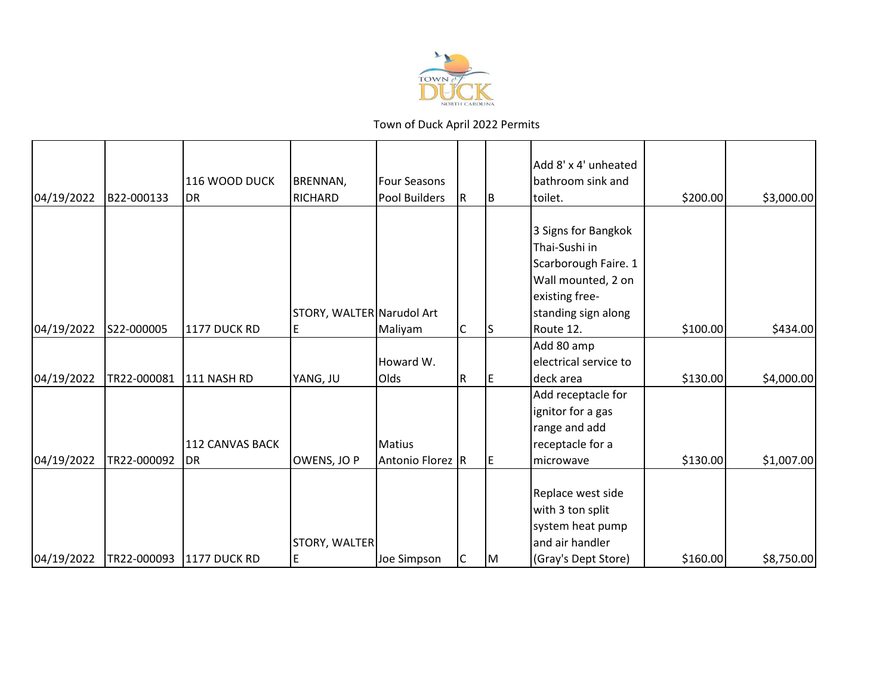

|            |             |                          |                           |                     |   |     | Add 8' x 4' unheated  |          |            |
|------------|-------------|--------------------------|---------------------------|---------------------|---|-----|-----------------------|----------|------------|
|            |             | 116 WOOD DUCK            | <b>BRENNAN,</b>           | <b>Four Seasons</b> |   |     | bathroom sink and     |          |            |
| 04/19/2022 | B22-000133  | <b>DR</b>                | <b>RICHARD</b>            | Pool Builders       | R | ΙB  | toilet.               | \$200.00 | \$3,000.00 |
|            |             |                          |                           |                     |   |     |                       |          |            |
|            |             |                          |                           |                     |   |     | 3 Signs for Bangkok   |          |            |
|            |             |                          |                           |                     |   |     | Thai-Sushi in         |          |            |
|            |             |                          |                           |                     |   |     | Scarborough Faire. 1  |          |            |
|            |             |                          |                           |                     |   |     | Wall mounted, 2 on    |          |            |
|            |             |                          |                           |                     |   |     | existing free-        |          |            |
|            |             |                          | STORY, WALTER Narudol Art |                     |   |     | standing sign along   |          |            |
| 04/19/2022 | S22-000005  | 1177 DUCK RD             | E                         | Maliyam             | C | IS  | Route 12.             | \$100.00 | \$434.00   |
|            |             |                          |                           |                     |   |     | Add 80 amp            |          |            |
|            |             |                          |                           | Howard W.           |   |     | electrical service to |          |            |
| 04/19/2022 | TR22-000081 | 111 NASH RD              | YANG, JU                  | <b>Olds</b>         | R | IE. | deck area             | \$130.00 | \$4,000.00 |
|            |             |                          |                           |                     |   |     | Add receptacle for    |          |            |
|            |             |                          |                           |                     |   |     | ignitor for a gas     |          |            |
|            |             |                          |                           |                     |   |     | range and add         |          |            |
|            |             | <b>112 CANVAS BACK</b>   |                           | Matius              |   |     | receptacle for a      |          |            |
| 04/19/2022 | TR22-000092 | DR                       | OWENS, JO P               | Antonio Florez R    |   | IE. | microwave             | \$130.00 | \$1,007.00 |
|            |             |                          |                           |                     |   |     |                       |          |            |
|            |             |                          |                           |                     |   |     | Replace west side     |          |            |
|            |             |                          |                           |                     |   |     | with 3 ton split      |          |            |
|            |             |                          |                           |                     |   |     | system heat pump      |          |            |
|            |             |                          | STORY, WALTER             |                     |   |     | and air handler       |          |            |
| 04/19/2022 |             | TR22-000093 1177 DUCK RD | E                         | Joe Simpson         | C | IМ  | (Gray's Dept Store)   | \$160.00 | \$8,750.00 |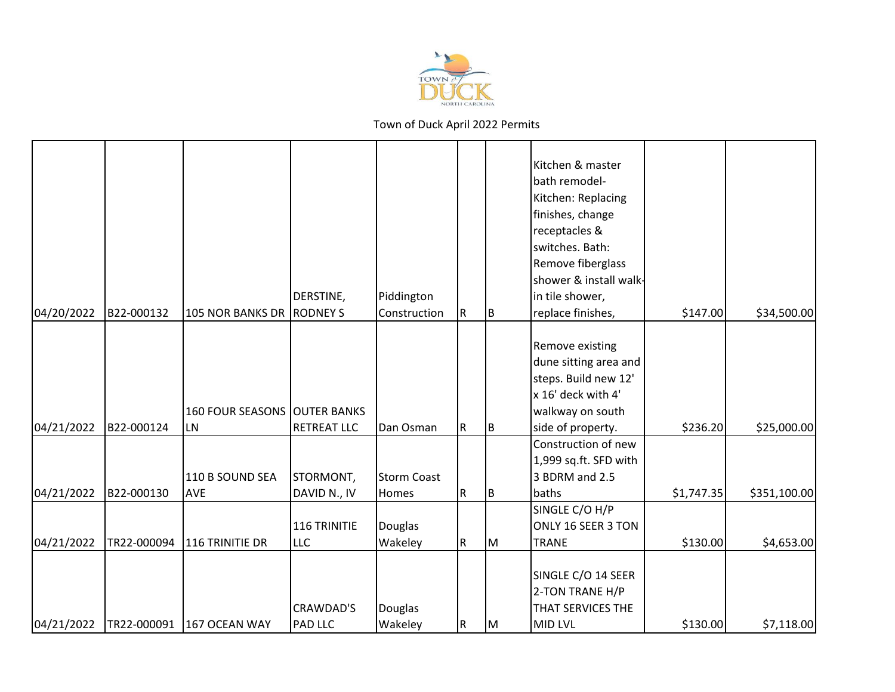

| 04/20/2022 | B22-000132  | <b>105 NOR BANKS DR</b>                   | DERSTINE,<br><b>RODNEY S</b> | Piddington<br>Construction  | R         | lB. | Kitchen & master<br>bath remodel-<br>Kitchen: Replacing<br>finishes, change<br>receptacles &<br>switches. Bath:<br>Remove fiberglass<br>shower & install walk-<br>in tile shower,<br>replace finishes, | \$147.00   | \$34,500.00  |
|------------|-------------|-------------------------------------------|------------------------------|-----------------------------|-----------|-----|--------------------------------------------------------------------------------------------------------------------------------------------------------------------------------------------------------|------------|--------------|
| 04/21/2022 | B22-000124  | <b>160 FOUR SEASONS OUTER BANKS</b><br>LN | <b>RETREAT LLC</b>           | Dan Osman                   | R         | Iв. | Remove existing<br>dune sitting area and<br>steps. Build new 12'<br>x 16' deck with 4'<br>walkway on south<br>side of property.                                                                        | \$236.20   | \$25,000.00  |
| 04/21/2022 | B22-000130  | 110 B SOUND SEA<br>AVE                    | STORMONT,<br>DAVID N., IV    | <b>Storm Coast</b><br>Homes | ${\sf R}$ | B   | Construction of new<br>1,999 sq.ft. SFD with<br>3 BDRM and 2.5<br>baths                                                                                                                                | \$1,747.35 | \$351,100.00 |
| 04/21/2022 | TR22-000094 | 116 TRINITIE DR                           | 116 TRINITIE<br><b>LLC</b>   | Douglas<br>Wakeley          | R         | M   | SINGLE C/O H/P<br>ONLY 16 SEER 3 TON<br><b>TRANE</b>                                                                                                                                                   | \$130.00   | \$4,653.00   |
| 04/21/2022 | TR22-000091 | 167 OCEAN WAY                             | CRAWDAD'S<br>PAD LLC         | Douglas<br>Wakeley          | ${\sf R}$ | M   | SINGLE C/O 14 SEER<br>2-TON TRANE H/P<br>THAT SERVICES THE<br><b>MID LVL</b>                                                                                                                           | \$130.00   | \$7,118.00   |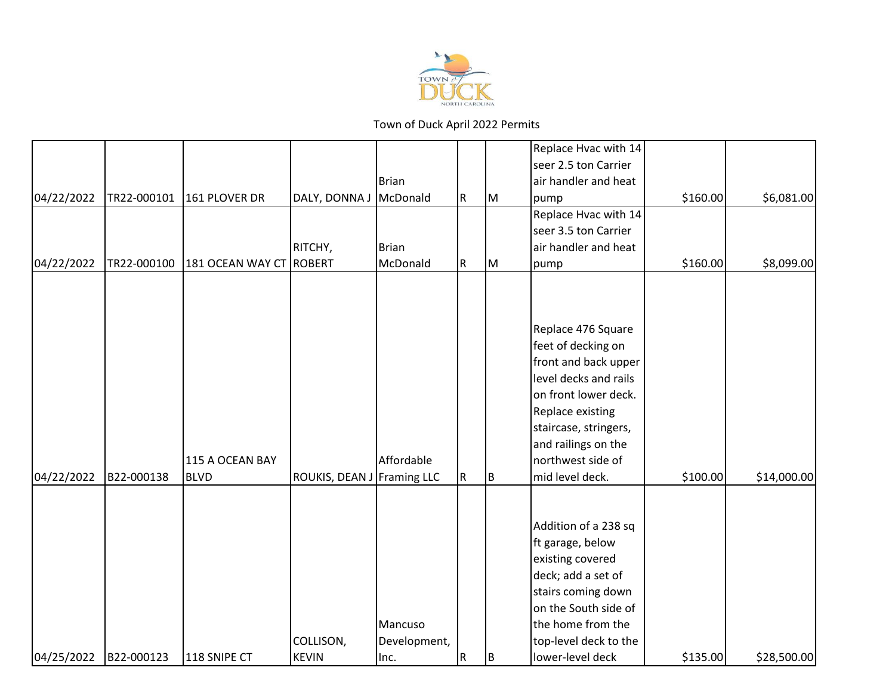

|            |             |                                |                            |                                 |           |   | Replace Hvac with 14                                                                                                                                                                                                          |          |             |
|------------|-------------|--------------------------------|----------------------------|---------------------------------|-----------|---|-------------------------------------------------------------------------------------------------------------------------------------------------------------------------------------------------------------------------------|----------|-------------|
|            |             |                                |                            |                                 |           |   |                                                                                                                                                                                                                               |          |             |
|            |             |                                |                            |                                 |           |   | seer 2.5 ton Carrier                                                                                                                                                                                                          |          |             |
|            |             |                                |                            | Brian                           |           |   | air handler and heat                                                                                                                                                                                                          |          |             |
| 04/22/2022 | TR22-000101 | 161 PLOVER DR                  | DALY, DONNA J              | McDonald                        | ${\sf R}$ | M | pump                                                                                                                                                                                                                          | \$160.00 | \$6,081.00  |
|            |             |                                |                            |                                 |           |   | Replace Hvac with 14                                                                                                                                                                                                          |          |             |
|            |             |                                |                            |                                 |           |   | seer 3.5 ton Carrier                                                                                                                                                                                                          |          |             |
|            |             |                                | RITCHY,                    | Brian                           |           |   | air handler and heat                                                                                                                                                                                                          |          |             |
| 04/22/2022 | TR22-000100 | 181 OCEAN WAY CT               | ROBERT                     | McDonald                        | R         | M | pump                                                                                                                                                                                                                          | \$160.00 | \$8,099.00  |
| 04/22/2022 | B22-000138  | 115 A OCEAN BAY<br><b>BLVD</b> | ROUKIS, DEAN J Framing LLC | Affordable                      | R         | B | Replace 476 Square<br>feet of decking on<br>front and back upper<br>level decks and rails<br>on front lower deck.<br>Replace existing<br>staircase, stringers,<br>and railings on the<br>northwest side of<br>mid level deck. | \$100.00 | \$14,000.00 |
| 04/25/2022 | B22-000123  | 118 SNIPE CT                   | COLLISON,<br><b>KEVIN</b>  | Mancuso<br>Development,<br>Inc. | R         | B | Addition of a 238 sq<br>ft garage, below<br>existing covered<br>deck; add a set of<br>stairs coming down<br>on the South side of<br>the home from the<br>top-level deck to the<br>lower-level deck                            | \$135.00 | \$28,500.00 |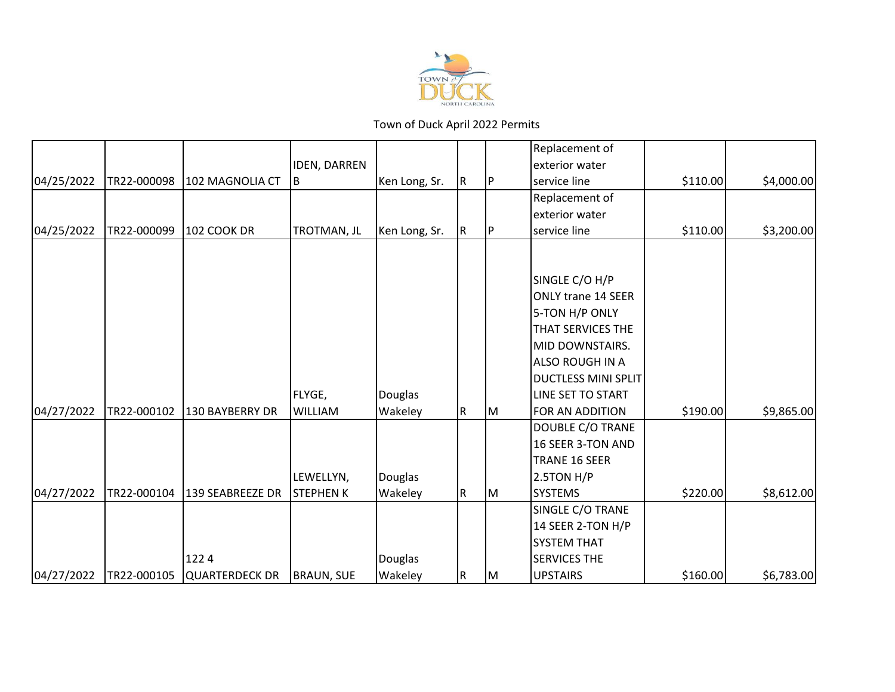

|            |             |                       |                     |               |     |     | Replacement of             |          |            |
|------------|-------------|-----------------------|---------------------|---------------|-----|-----|----------------------------|----------|------------|
|            |             |                       | <b>IDEN, DARREN</b> |               |     |     | exterior water             |          |            |
| 04/25/2022 | TR22-000098 | 102 MAGNOLIA CT       | B                   | Ken Long, Sr. | IR. | IP  | service line               | \$110.00 | \$4,000.00 |
|            |             |                       |                     |               |     |     | Replacement of             |          |            |
|            |             |                       |                     |               |     |     | exterior water             |          |            |
| 04/25/2022 | TR22-000099 | <b>102 COOK DR</b>    | TROTMAN, JL         | Ken Long, Sr. | IR. | IP. | service line               | \$110.00 | \$3,200.00 |
|            |             |                       |                     |               |     |     |                            |          |            |
|            |             |                       |                     |               |     |     | SINGLE C/O H/P             |          |            |
|            |             |                       |                     |               |     |     | <b>ONLY trane 14 SEER</b>  |          |            |
|            |             |                       |                     |               |     |     | 5-TON H/P ONLY             |          |            |
|            |             |                       |                     |               |     |     | THAT SERVICES THE          |          |            |
|            |             |                       |                     |               |     |     | MID DOWNSTAIRS.            |          |            |
|            |             |                       |                     |               |     |     | <b>ALSO ROUGH IN A</b>     |          |            |
|            |             |                       |                     |               |     |     | <b>DUCTLESS MINI SPLIT</b> |          |            |
|            |             |                       | FLYGE,              | Douglas       |     |     | LINE SET TO START          |          |            |
| 04/27/2022 | TR22-000102 | 130 BAYBERRY DR       | <b>WILLIAM</b>      | Wakeley       | IR. | Iм  | FOR AN ADDITION            | \$190.00 | \$9,865.00 |
|            |             |                       |                     |               |     |     | DOUBLE C/O TRANE           |          |            |
|            |             |                       |                     |               |     |     | 16 SEER 3-TON AND          |          |            |
|            |             |                       |                     |               |     |     | TRANE 16 SEER              |          |            |
|            |             |                       | LEWELLYN,           | Douglas       |     |     | 2.5TON H/P                 |          |            |
| 04/27/2022 | TR22-000104 | 139 SEABREEZE DR      | <b>STEPHENK</b>     | Wakeley       | IR. | Iм  | <b>SYSTEMS</b>             | \$220.00 | \$8,612.00 |
|            |             |                       |                     |               |     |     | SINGLE C/O TRANE           |          |            |
|            |             |                       |                     |               |     |     | 14 SEER 2-TON H/P          |          |            |
|            |             |                       |                     |               |     |     | <b>SYSTEM THAT</b>         |          |            |
|            |             | 1224                  |                     | Douglas       |     |     | <b>SERVICES THE</b>        |          |            |
| 04/27/2022 | TR22-000105 | <b>QUARTERDECK DR</b> | <b>BRAUN, SUE</b>   | Wakeley       | R   | IМ  | <b>UPSTAIRS</b>            | \$160.00 | \$6,783.00 |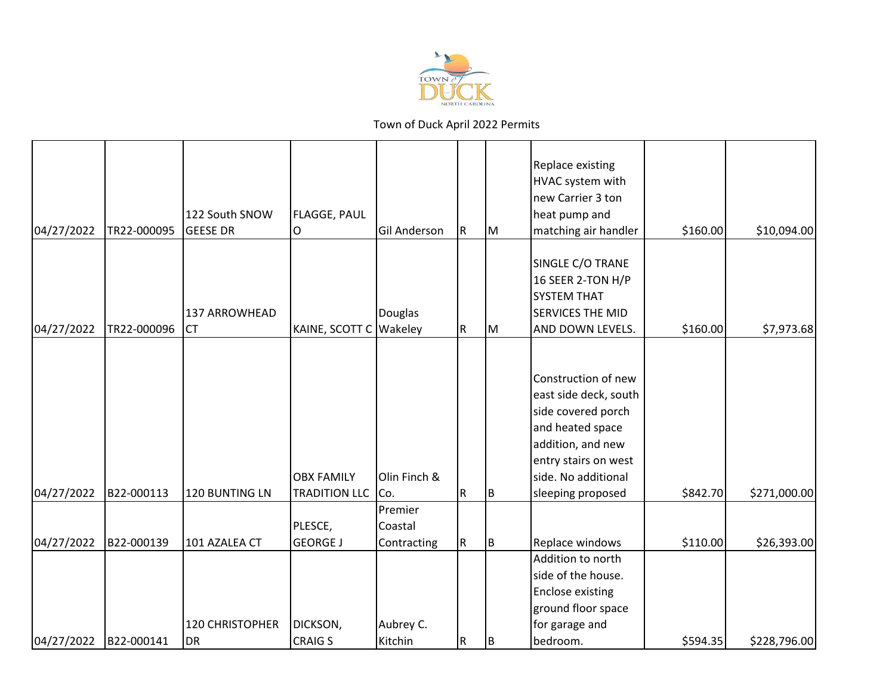

| 04/27/2022 | TR22-000095 | 122 South SNOW<br><b>GEESE DR</b>   | FLAGGE, PAUL<br>O                         | <b>Gil Anderson</b>               | R         | IМ  | Replace existing<br>HVAC system with<br>new Carrier 3 ton<br>heat pump and<br>matching air handler                                                                              | \$160.00 | \$10,094.00  |
|------------|-------------|-------------------------------------|-------------------------------------------|-----------------------------------|-----------|-----|---------------------------------------------------------------------------------------------------------------------------------------------------------------------------------|----------|--------------|
| 04/27/2022 | TR22-000096 | 137 ARROWHEAD<br><b>CT</b>          | KAINE, SCOTT C Wakeley                    | Douglas                           | R         | lм  | SINGLE C/O TRANE<br>16 SEER 2-TON H/P<br><b>SYSTEM THAT</b><br><b>SERVICES THE MID</b><br>AND DOWN LEVELS.                                                                      | \$160.00 | \$7,973.68   |
| 04/27/2022 | B22-000113  | 120 BUNTING LN                      | <b>OBX FAMILY</b><br><b>TRADITION LLC</b> | Olin Finch &<br>Co.               | ${\sf R}$ | İΒ. | Construction of new<br>east side deck, south<br>side covered porch<br>and heated space<br>addition, and new<br>entry stairs on west<br>side. No additional<br>sleeping proposed | \$842.70 | \$271,000.00 |
| 04/27/2022 | B22-000139  | 101 AZALEA CT                       | PLESCE,<br><b>GEORGE J</b>                | Premier<br>Coastal<br>Contracting | R         | B   | Replace windows                                                                                                                                                                 | \$110.00 | \$26,393.00  |
| 04/27/2022 | B22-000141  | <b>120 CHRISTOPHER</b><br><b>DR</b> | <b>DICKSON,</b><br><b>CRAIG S</b>         | Aubrey C.<br>Kitchin              | R         | IB. | Addition to north<br>side of the house.<br><b>Enclose existing</b><br>ground floor space<br>for garage and<br>bedroom.                                                          | \$594.35 | \$228,796.00 |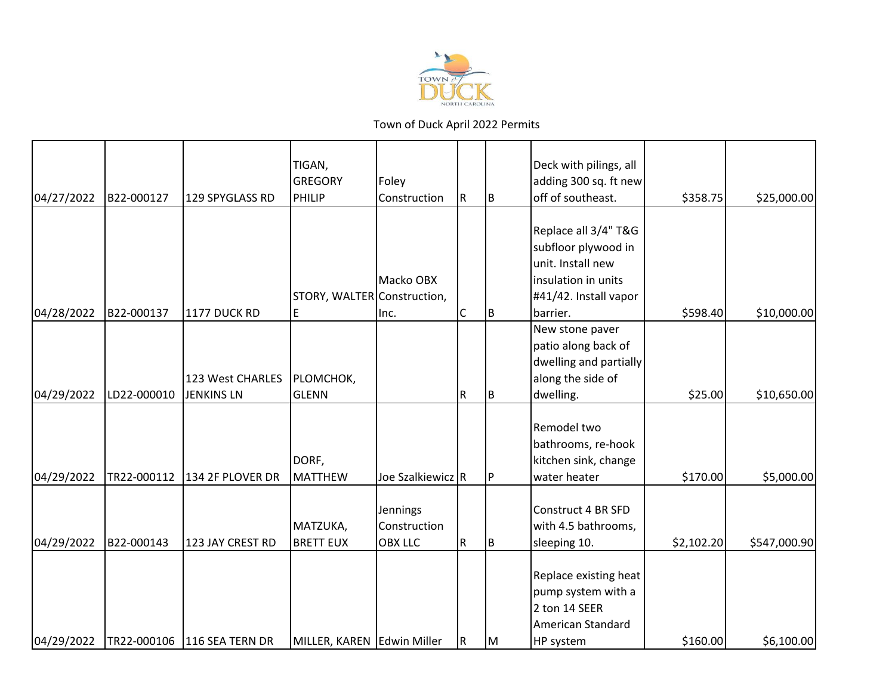

|            |             |                   | TIGAN,<br><b>GREGORY</b>    | Foley                    |           |     | Deck with pilings, all<br>adding 300 sq. ft new                                          |            |              |
|------------|-------------|-------------------|-----------------------------|--------------------------|-----------|-----|------------------------------------------------------------------------------------------|------------|--------------|
| 04/27/2022 | B22-000127  | 129 SPYGLASS RD   | PHILIP                      | Construction             | R.        | B.  | off of southeast.                                                                        | \$358.75   | \$25,000.00  |
|            |             |                   |                             |                          |           |     |                                                                                          |            |              |
|            |             |                   |                             |                          |           |     | Replace all 3/4" T&G                                                                     |            |              |
|            |             |                   |                             |                          |           |     | subfloor plywood in<br>unit. Install new                                                 |            |              |
|            |             |                   |                             | Macko OBX                |           |     | insulation in units                                                                      |            |              |
|            |             |                   | STORY, WALTER Construction, |                          |           |     | #41/42. Install vapor                                                                    |            |              |
| 04/28/2022 | B22-000137  | 1177 DUCK RD      | E                           | Inc.                     | C         | IB. | barrier.                                                                                 | \$598.40   | \$10,000.00  |
|            |             |                   |                             |                          |           |     | New stone paver                                                                          |            |              |
|            |             |                   |                             |                          |           |     | patio along back of                                                                      |            |              |
|            |             |                   |                             |                          |           |     | dwelling and partially                                                                   |            |              |
|            |             | 123 West CHARLES  | PLOMCHOK,                   |                          |           |     | along the side of                                                                        |            |              |
| 04/29/2022 | LD22-000010 | <b>JENKINS LN</b> | GLENN                       |                          | ${\sf R}$ | Iв. | dwelling.                                                                                | \$25.00    | \$10,650.00  |
|            |             |                   | DORF,                       |                          |           |     | Remodel two<br>bathrooms, re-hook<br>kitchen sink, change                                |            |              |
| 04/29/2022 | TR22-000112 | 134 2F PLOVER DR  | MATTHEW                     | Joe Szalkiewicz R        |           | IP  | water heater                                                                             | \$170.00   | \$5,000.00   |
|            |             |                   | MATZUKA,                    | Jennings<br>Construction |           |     | Construct 4 BR SFD<br>with 4.5 bathrooms,                                                |            |              |
| 04/29/2022 | B22-000143  | 123 JAY CREST RD  | <b>BRETT EUX</b>            | <b>OBX LLC</b>           | R         | IΒ  | sleeping 10.                                                                             | \$2,102.20 | \$547,000.90 |
|            |             |                   |                             |                          |           |     | Replace existing heat<br>pump system with a<br>2 ton 14 SEER<br><b>American Standard</b> |            |              |
| 04/29/2022 | TR22-000106 | 116 SEA TERN DR   | MILLER, KAREN Edwin Miller  |                          | R         | IМ  | HP system                                                                                | \$160.00   | \$6,100.00   |